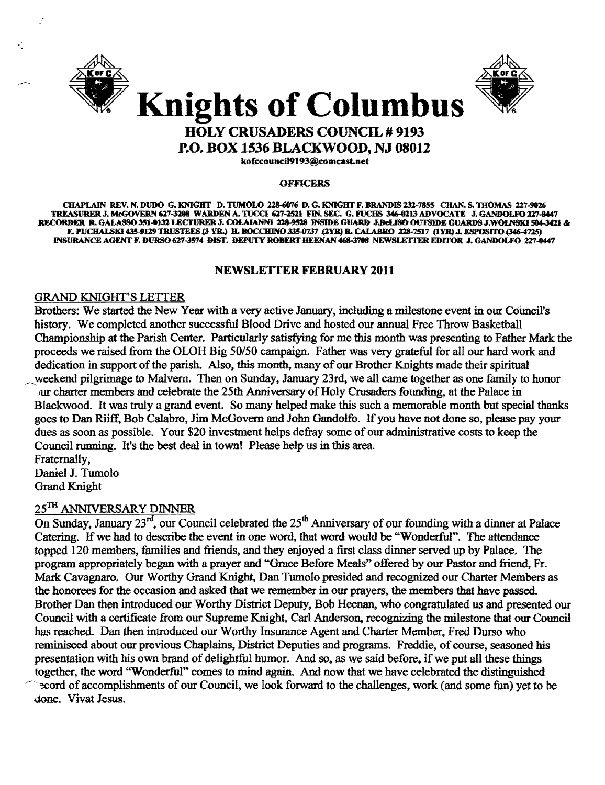



## HOLY CRUSADERS COUNCIL # 9193 P.O. BOX 1536 BLACKWOOD, NJ 08012

kofccouncil9193@comcast.net

#### **OFFICERS**

CHAPLAIN REV. N. DUDO G. KNIGHT D. TUMOLO 228-6076 D. G. KNIGHT F. BRANDIS 232-7855 CHAN. S. THOMAS 227-9026 TREASURER J. MeGOVERN 627-3208 WARDEN A. TUCCI 627-2521 FIN. SEC. G. FUCHS 346-0213 ADVOCATE J. GANDOLFO 227-0447 RECORDER R. GALASSO 351-0132 LECTURER J. COLAIANNI 228-9528 INSIDE GUARD J.DeLISO OUTSIDE GUARDS J.WOLNSKI 504-3421 & F. PUCHALSKI 435-0129 TRUSTEES (3 YR.) H. BOCCHINO 335-0737 (2YR) B. CALABRO 228-7517 (1 YR) J. ESPOSITO (346-4725) 1NSURANCE AGENT F. DURSO 627-3574 DIST. DEPUTY ROBERT HEENAN 468-3708 NEWSLETTER EDITOR J. GANDOLFO 227-0447

#### NEWSLETTER FEBRUARY 2011

#### GRAND KNIGHT'S LEITER

Brothers: We started the New Year with a very active January, including a milestone event in our Council's history. We completed another successful Blood Drive and hosted our annual Free Throw Basketball Championship at the Parish Center. Particularly satisfying for me this month was presenting to Father Mark: the proceeds we raised from the OLOH Big *50/50* campaign. Father was very grateful for all our hard work and dedication in support of the parish. Also, this month, many of our Brother Knights made their spiritual weekend pilgrimage to Malvern. Then on Sunday, January 23rd, we all came together as one family to honor fur charter members and celebrate the 25th Anniversary of Holy Crusaders founding, at the Palace in Blackwood. It was truly a grand event. So many helped make this such a memorable month but special thanks goes to Dan Riiff. Bob Calabro. Jim McGovern and John Gandolfo. If you have not done so, please pay your dues as soon as possible. Your \$20 investment helps defray some of our administrative costs to keep the Council running. It's the best deal in town! Please help us in this area. Fraternally,

Daniel J. Tumolo Grand Knight

#### 25TH ANNIVERSARY DINNER

On Sunday, January  $23^{rd}$ , our Council celebrated the  $25^{th}$  Anniversary of our founding with a dinner at Palace Catering. If we had to describe the event in one word, that word would be "Wonderful". The attendance topped 120 members, families and friends, and they enjoyed a first class dinner served up by Palace. The program appropriately began with a prayer and "Grace Before Meals~~ offered by our Pastor and friend. Fr. Mark Cavagnaro. Our Worthy Grand Knight, Dan Tumolo presided and recognized our Charter Members as the honorees for the occasion and asked that we remember in our prayers, the members that have passed. Brother Dan then introduced our Worthy District Deputy, Bob Heenan, who congratulated us and presented our Council with a certificate from our Supreme Knight, Carl Anderson, recognizing the milestone that our Council has reached. Dan then introduced our Worthy Insurance Agent and Charter Member, Fred Durso who reminisced about our previous Chaplains, District Deputies and programs. Freddie, of course, seasoned his presentation with his own brand of delightful humor. And so, as we said before, if we put all these things together, the word "Wonderful" comes to mind again. And now that we have celebrated the distinguished ~cord of accomplishments of our Council, we look forward to the challenges, work (and some fun) yet to be done. Vivat Jesus.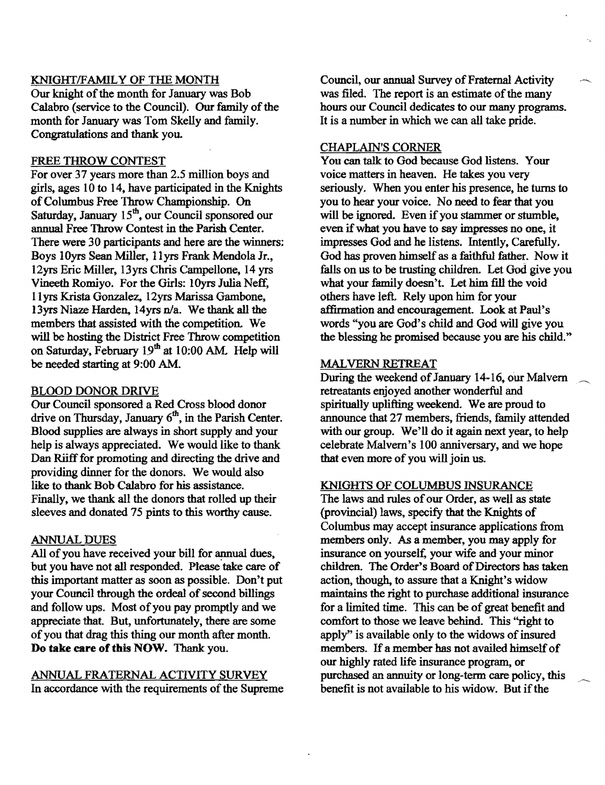#### KNIGHfIFAMILY OF THE MONTH

Our knight of the month for January was Bob Calabro (service to the Council). Our family of the month for January was Tom Skelly and family. Congratulations and thank you.

#### FREE THROW CONTEST

For over 37 years more than 2.5 million boys and girls, ages  $10$  to  $14$ , have participated in the Knights of Columbus Free Throw Championship. On Saturday, January 15<sup>th</sup>, our Council sponsored our annual Free Throw Contest in the Parish Center. There were 30 participants and here are the winners: Boys lOyrs Sean Miller, llyrs Frank Mendola Jr., 12yrs Eric Miller, 13yrs Chris Campellone, 14 yrs Vineeth Romiyo. For the Girls: lOyrs Julia Neff, 11yrs Krista Gonzalez., 12yrs Marissa Gambone~ 13yrs Niaze Harden, 14yrs  $n/a$ . We thank all the members that assisted with the competition. We will be hosting the District Free Throw competition on Saturday, February 19<sup>th</sup> at 10:00 AM. Help will be needed starting at 9:00 AM.

#### BLOOD DONOR DRIVE

Our Council sponsored a Red Cross blood donor drive on Thursday, January  $6<sup>th</sup>$ , in the Parish Center. Blood supplies are always in short supply and your help is always appreciated. We would like to thank Dan Riiff for promoting and directing the drive and providing dinner for the donors. We would also like to thank Bob Calabro for his assistance. Finally, we thank all the donors that rolled up their sleeves and donated 75 pints to this worthy cause.

#### ANNUAL DUES

All of you have received your bill for annual dues, but you have not all responded. Please take care of this important matter as soon as possible. Don't put your Council through the ordeal of second billings and follow ups. Most of you pay promptly and we appreciate that. But, unfortunately, there are some ofyou that drag this thing our month after month. **Do take care of this NOW.** Thank you.

### ANNUAL FRATERNAL ACTIVITY SURVEY

In accordance with the requirements of the Supreme

Council, our annual Survey of Fraternal Activity was filed. The report is an estimate of the many hours our Council dedicates to our many programs. It is a number in which we can all take pride.

#### CHAPLAIN'S CORNER

You can talk to God because God listens. Your voice matters in heaven. He takes you very seriously. When you enter his presence, he turns to you to hear your voice. No need to fear that you will be ignored. Even if you stammer or stumble, even if what you have to say impresses no one, it impresses God and he listens. Intently, Carefully. God has proven himself as a faithful father. Now it falls on us to be trusting children. Let God give you what your family doesn't. Let him fill the void others have left. Rely upon him for your affirmation and encouragement. Look at Paul's words "you are God's child and God will give you the blessing he promised because you are his child.»

#### MALVERN RETREAT

During the weekend of January 14-16, our Malvern retreatants enjoyed another wonderful and spiritually uplifting weekend. We are proud to announce that 27 members, friends, family attended with our group. We'll do it again next year, to help celebrate Malvern's 100 anniversary, and we hope that even more of you will join us.

#### KNIGHTS OF COLUMBUS INSURANCE

The laws and rules of our Order, as well as state (provincial) laws, specify that the Knights of Columbus may accept insurance applications from members only. As a member, you may apply for insurance on yourself, your wife and your minor children. The Order's Board of Directors has taken action, though, to assure that a Knight's widow maintains the right to purchase additional insurance for a limited time. This can be of great benefit and comfort to those we leave behind. This "right to apply" is available only to the widows of insured members. If a member has not availed himself of our highly rated life insurance program, or purchased an annuity or long-term care policy, this benefit is not available to his widow. But if the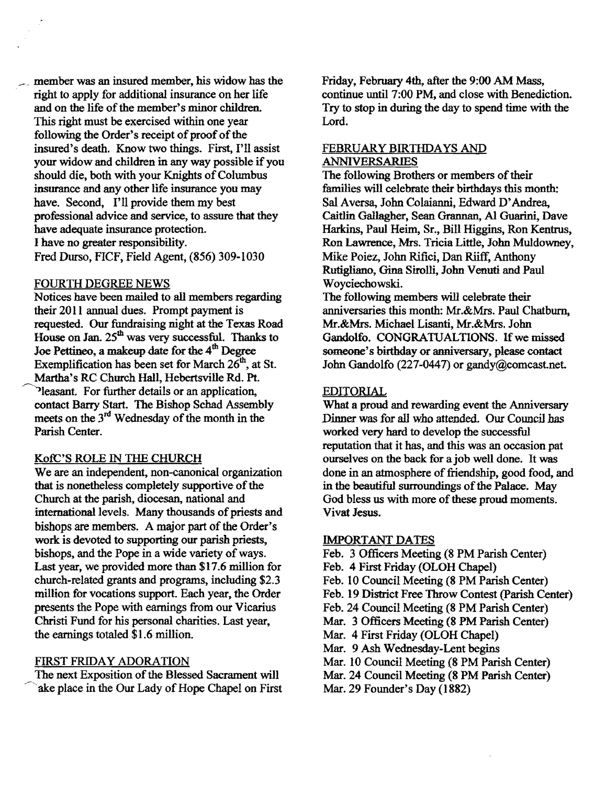$\sim$  member was an insured member, his widow has the right to apply for additional insurance on her life and on the life of the member's minor children. This right must be exercised within one year following the Order's receipt of proof of the insured's death. Know two things. First, I'll assist your widow and children in any way possible if you should die, both with your Knights of Columbus insurance and any other life insurance you may have. Second, I'll provide them my best professional advice and service, to assure that they have adequate insurance protection. I have no greater responsibility. Fred Durso, FICF, Field Agent, (856) 309-1030

#### FOURTH DEGREE NEWS

Notices have been mailed to all members regarding their 2011 annual dues. Prompt payment is requested. Our fundraising night at the Texas Road House on Jan. 25<sup>th</sup> was very successful. Thanks to Joe Pettineo, a makeup date for the 4<sup>th</sup> Degree Exemplification has been set for March  $26<sup>th</sup>$ , at St. Martha's RC Church Hall, Hebertsville Rd. Pt. ~leasant. For further details or an application, contact Barry Start. The Bishop Schad Assembly meets on the  $3<sup>rd</sup>$  Wednesday of the month in the Parish Center.

#### KotC'S ROLE IN THE CHURCH

We are an independent, non-canonical organization that is nonetheless completely supportive of the Church at the parish, diocesan, national and international levels. Many thousands of priests and bishops are members. A major part of the Order's work is devoted to supporting our parish priests, bishops, and the Pope in a wide variety of ways. Last year, we provided more than \$17.6 million for church-related grants and programs, including \$2.3 million for vocations support. Each year, the Order presents the Pope with earnings from our Vicarius Christi Fund for his personal charities. Last year, the earnings totaled \$1.6 million.

#### FIRST FRIDAY ADORATION

The next Exposition of the Blessed Sacrament will ake place in the Our Lady of Hope Chapel on First Friday, February 4th, after the 9:00 AM Mass, continue until 7:00 PM, and close with Benediction. Try to stop in during the day to spend time with the Lord.

#### FEBRUARY BIRTHDAYS AND ANNIVERSARIES

The following Brothers or members of their families will celebrate their birthdays this month: Sal Aversa, John Colaianni, Edward D'Andrea. Caitlin Gallagher, Sean Grannan, AI Guarini, Dave Harkins, Paul Heim, Sr., Bill Higgins, Ron Kentrus, Ron Lawrence, Mrs. Tricia Little, John Muldowney, Mike Poiez, John Rifici, Dan Riiff, Anthony Rutigliano, Gina Sirolli, John Venuti and Paul Woycieehowski.

The following members will celebrate their anniversaries this month: Mr.&Mrs. Paul Chatburn, Mr.&Mrs. Michael Lisanti, Mr.&Mrs. John Gandolfo. CONGRATUALTIONS. If we missed someone's birthday or anniversary, please contact John Gandolfo (227-0447) or gandy@comcast.net.

#### EDITORIAL

What a proud and rewarding event the Anniversary Dinner was for all who attended. Our Council has worked very hard to develop the successful reputation that it has, and this was an occasion pat ourselves on the back for a job well done. It was done in an atmosphere of friendship, good food, and in the beautiful surroundings of the Palace. May God bless us with more of these proud moments. Vivat Jesus.

#### IMPORTANT DATES

- Feb. 3 Officers Meeting (8 PM Parish Center)
- Feb. 4 First Friday (OLOH Chapel)
- Feb. 10 Council Meeting (8 PM Parish Center)
- Feb. 19 District Free Throw Contest (parish Center)
- Feb. 24 Council Meeting (8 PM Parish Center)
- Mar. 3 Officers Meeting (8 PM Parish Center)
- Mar. 4 First Friday (OLOH Chapel)
- Mar. 9 Ash Wednesday-Lent begins
- Mar. 10 Council Meeting (8 PM Parish Center)
- Mar. 24 Council Meeting (8 PM Parish Center)
- Mar. 29 Founder's Day (1882)